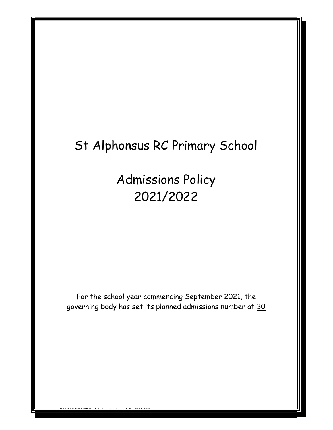## St Alphonsus RC Primary School

Admissions Policy 2021/2022

For the school year commencing September 2021, the governing body has set its planned admissions number at 30

 $\blacksquare$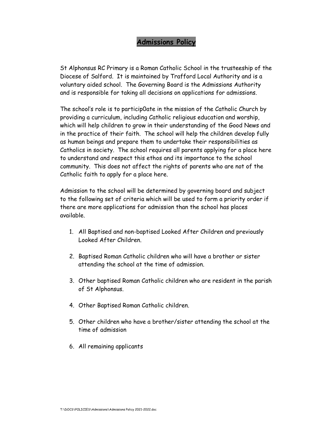## Admissions Policy

St Alphonsus RC Primary is a Roman Catholic School in the trusteeship of the Diocese of Salford. It is maintained by Trafford Local Authority and is a voluntary aided school. The Governing Board is the Admissions Authority and is responsible for taking all decisions on applications for admissions.

The school's role is to particip0ate in the mission of the Catholic Church by providing a curriculum, including Catholic religious education and worship, which will help children to grow in their understanding of the Good News and in the practice of their faith. The school will help the children develop fully as human beings and prepare them to undertake their responsibilities as Catholics in society. The school requires all parents applying for a place here to understand and respect this ethos and its importance to the school community. This does not affect the rights of parents who are not of the Catholic faith to apply for a place here.

Admission to the school will be determined by governing board and subject to the following set of criteria which will be used to form a priority order if there are more applications for admission than the school has places available.

- 1. All Baptised and non-baptised Looked After Children and previously Looked After Children.
- 2. Baptised Roman Catholic children who will have a brother or sister attending the school at the time of admission.
- 3. Other baptised Roman Catholic children who are resident in the parish of St Alphonsus.
- 4. Other Baptised Roman Catholic children.
- 5. Other children who have a brother/sister attending the school at the time of admission
- 6. All remaining applicants